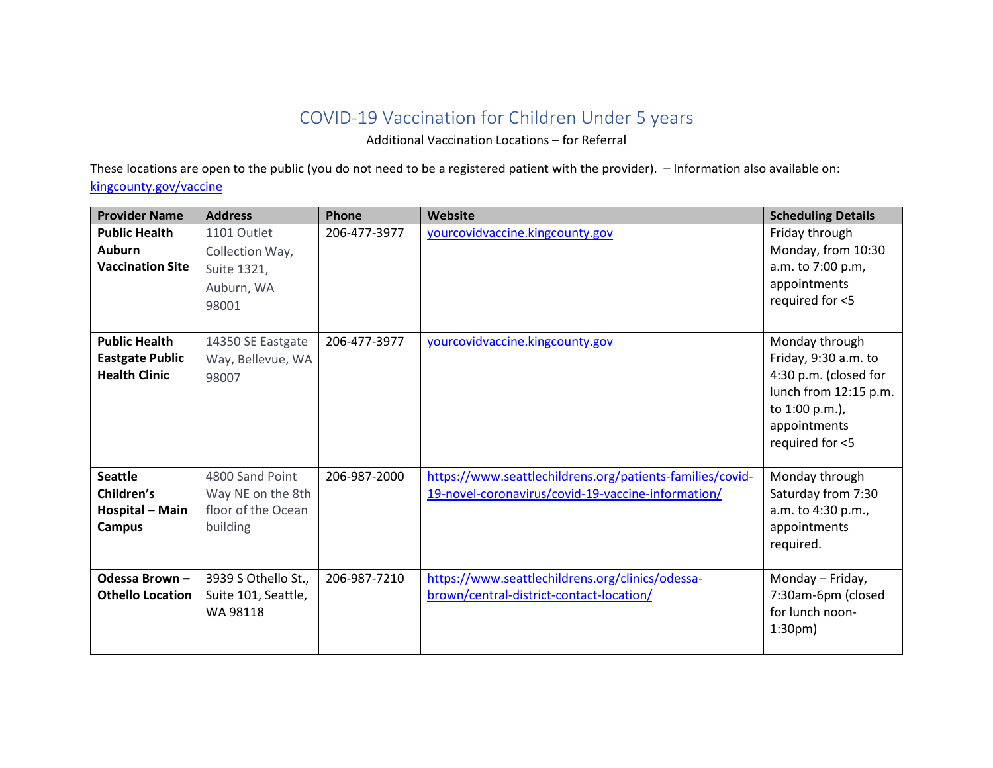## COVID-19 Vaccination for Children Under 5 years

Additional Vaccination Locations – for Referral

These locations are open to the public (you do not need to be a registered patient with the provider). – Information also available on: [kingcounty.gov/vaccine](https://kingcounty.gov/depts/health/covid-19/vaccine/distribution.aspx)

| <b>Provider Name</b>                                                   | <b>Address</b>                                                         | Phone        | Website                                                                                                         | <b>Scheduling Details</b>                                                                                                                     |
|------------------------------------------------------------------------|------------------------------------------------------------------------|--------------|-----------------------------------------------------------------------------------------------------------------|-----------------------------------------------------------------------------------------------------------------------------------------------|
| <b>Public Health</b><br><b>Auburn</b><br><b>Vaccination Site</b>       | 1101 Outlet<br>Collection Way,<br>Suite 1321,<br>Auburn, WA<br>98001   | 206-477-3977 | yourcovidvaccine.kingcounty.gov                                                                                 | Friday through<br>Monday, from 10:30<br>a.m. to 7:00 p.m,<br>appointments<br>required for <5                                                  |
| <b>Public Health</b><br><b>Eastgate Public</b><br><b>Health Clinic</b> | 14350 SE Eastgate<br>Way, Bellevue, WA<br>98007                        | 206-477-3977 | yourcovidvaccine.kingcounty.gov                                                                                 | Monday through<br>Friday, 9:30 a.m. to<br>4:30 p.m. (closed for<br>lunch from 12:15 p.m.<br>to 1:00 p.m.),<br>appointments<br>required for <5 |
| <b>Seattle</b><br>Children's<br>Hospital - Main<br><b>Campus</b>       | 4800 Sand Point<br>Way NE on the 8th<br>floor of the Ocean<br>building | 206-987-2000 | https://www.seattlechildrens.org/patients-families/covid-<br>19-novel-coronavirus/covid-19-vaccine-information/ | Monday through<br>Saturday from 7:30<br>a.m. to 4:30 p.m.,<br>appointments<br>required.                                                       |
| Odessa Brown-<br><b>Othello Location</b>                               | 3939 S Othello St.,<br>Suite 101, Seattle,<br>WA 98118                 | 206-987-7210 | https://www.seattlechildrens.org/clinics/odessa-<br>brown/central-district-contact-location/                    | Monday - Friday,<br>7:30am-6pm (closed<br>for lunch noon-<br>$1:30pm$ )                                                                       |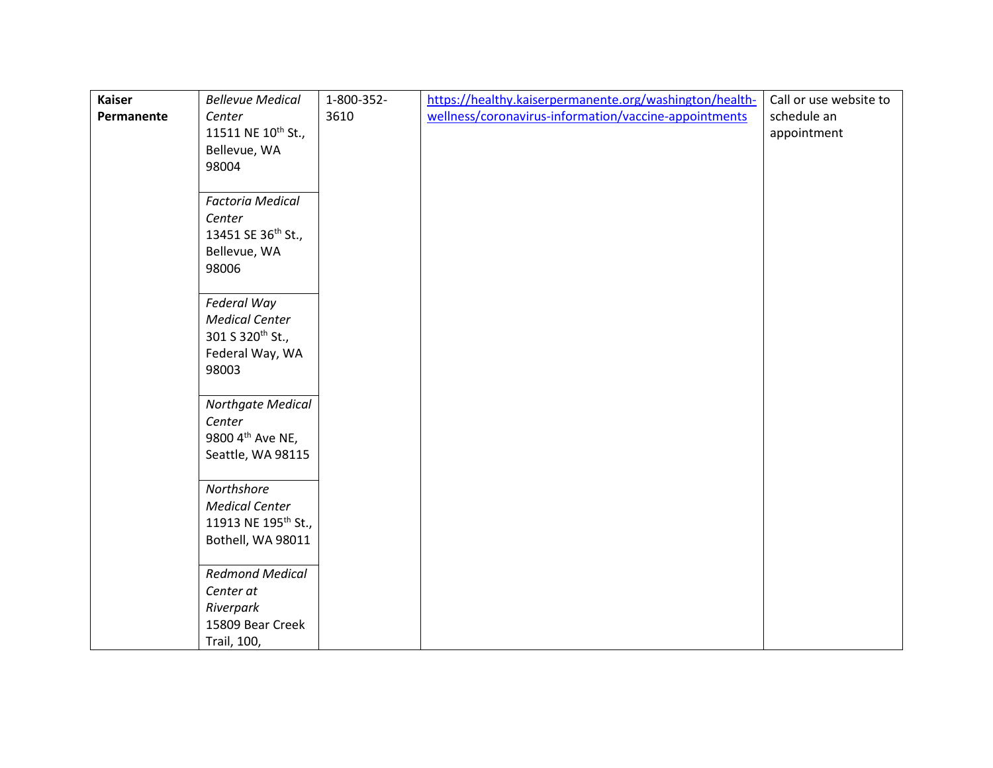| <b>Kaiser</b> | <b>Bellevue Medical</b>         | 1-800-352- | https://healthy.kaiserpermanente.org/washington/health- | Call or use website to |
|---------------|---------------------------------|------------|---------------------------------------------------------|------------------------|
| Permanente    | Center                          | 3610       | wellness/coronavirus-information/vaccine-appointments   | schedule an            |
|               | 11511 NE 10 <sup>th</sup> St.,  |            |                                                         | appointment            |
|               | Bellevue, WA                    |            |                                                         |                        |
|               | 98004                           |            |                                                         |                        |
|               |                                 |            |                                                         |                        |
|               | <b>Factoria Medical</b>         |            |                                                         |                        |
|               | Center                          |            |                                                         |                        |
|               | 13451 SE 36 <sup>th</sup> St.,  |            |                                                         |                        |
|               | Bellevue, WA                    |            |                                                         |                        |
|               | 98006                           |            |                                                         |                        |
|               |                                 |            |                                                         |                        |
|               | Federal Way                     |            |                                                         |                        |
|               | <b>Medical Center</b>           |            |                                                         |                        |
|               | 301 S 320 <sup>th</sup> St.,    |            |                                                         |                        |
|               | Federal Way, WA                 |            |                                                         |                        |
|               | 98003                           |            |                                                         |                        |
|               |                                 |            |                                                         |                        |
|               | Northgate Medical               |            |                                                         |                        |
|               | Center                          |            |                                                         |                        |
|               | 9800 4th Ave NE,                |            |                                                         |                        |
|               | Seattle, WA 98115               |            |                                                         |                        |
|               |                                 |            |                                                         |                        |
|               | Northshore                      |            |                                                         |                        |
|               | <b>Medical Center</b>           |            |                                                         |                        |
|               | 11913 NE 195 <sup>th</sup> St., |            |                                                         |                        |
|               | Bothell, WA 98011               |            |                                                         |                        |
|               |                                 |            |                                                         |                        |
|               | <b>Redmond Medical</b>          |            |                                                         |                        |
|               | Center at                       |            |                                                         |                        |
|               | Riverpark                       |            |                                                         |                        |
|               | 15809 Bear Creek                |            |                                                         |                        |
|               | Trail, 100,                     |            |                                                         |                        |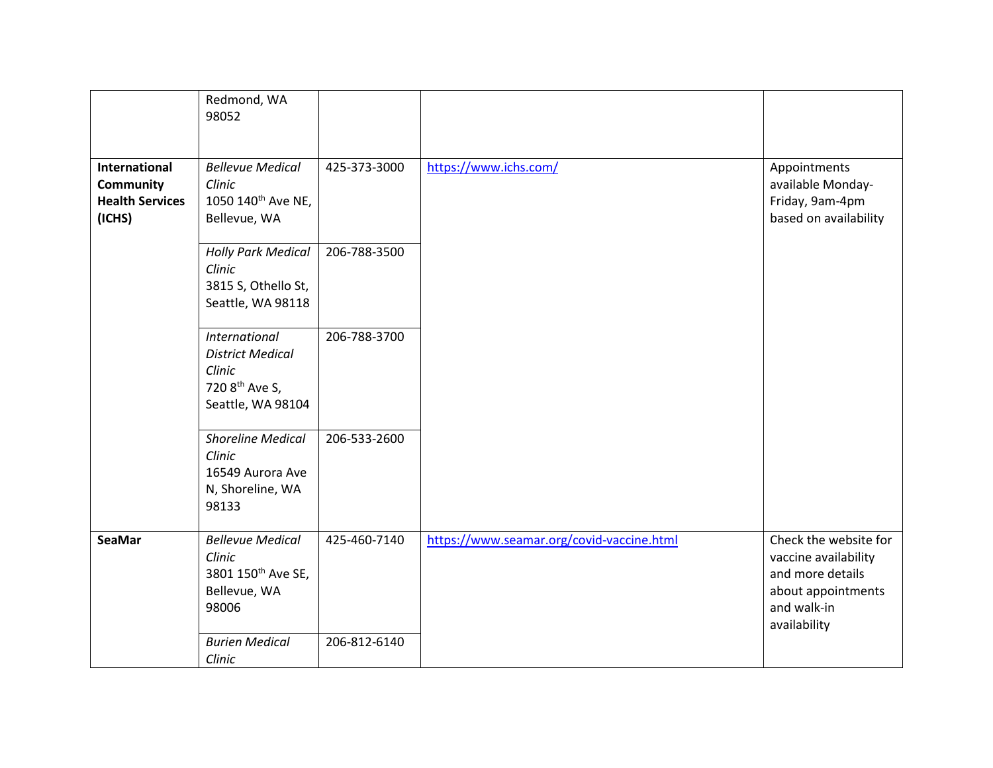|                                                                       | Redmond, WA<br>98052                                                                                         |              |                                           |                                                                                                                        |
|-----------------------------------------------------------------------|--------------------------------------------------------------------------------------------------------------|--------------|-------------------------------------------|------------------------------------------------------------------------------------------------------------------------|
| International<br><b>Community</b><br><b>Health Services</b><br>(ICHS) | <b>Bellevue Medical</b><br>Clinic<br>1050 140 <sup>th</sup> Ave NE,<br>Bellevue, WA                          | 425-373-3000 | https://www.ichs.com/                     | Appointments<br>available Monday-<br>Friday, 9am-4pm<br>based on availability                                          |
|                                                                       | <b>Holly Park Medical</b><br>Clinic<br>3815 S, Othello St,<br>Seattle, WA 98118                              | 206-788-3500 |                                           |                                                                                                                        |
|                                                                       | <b>International</b><br><b>District Medical</b><br>Clinic<br>720 8 <sup>th</sup> Ave S,<br>Seattle, WA 98104 | 206-788-3700 |                                           |                                                                                                                        |
|                                                                       | <b>Shoreline Medical</b><br>Clinic<br>16549 Aurora Ave<br>N, Shoreline, WA<br>98133                          | 206-533-2600 |                                           |                                                                                                                        |
| <b>SeaMar</b>                                                         | <b>Bellevue Medical</b><br>Clinic<br>3801 150 <sup>th</sup> Ave SE,<br>Bellevue, WA<br>98006                 | 425-460-7140 | https://www.seamar.org/covid-vaccine.html | Check the website for<br>vaccine availability<br>and more details<br>about appointments<br>and walk-in<br>availability |
|                                                                       | <b>Burien Medical</b><br>Clinic                                                                              | 206-812-6140 |                                           |                                                                                                                        |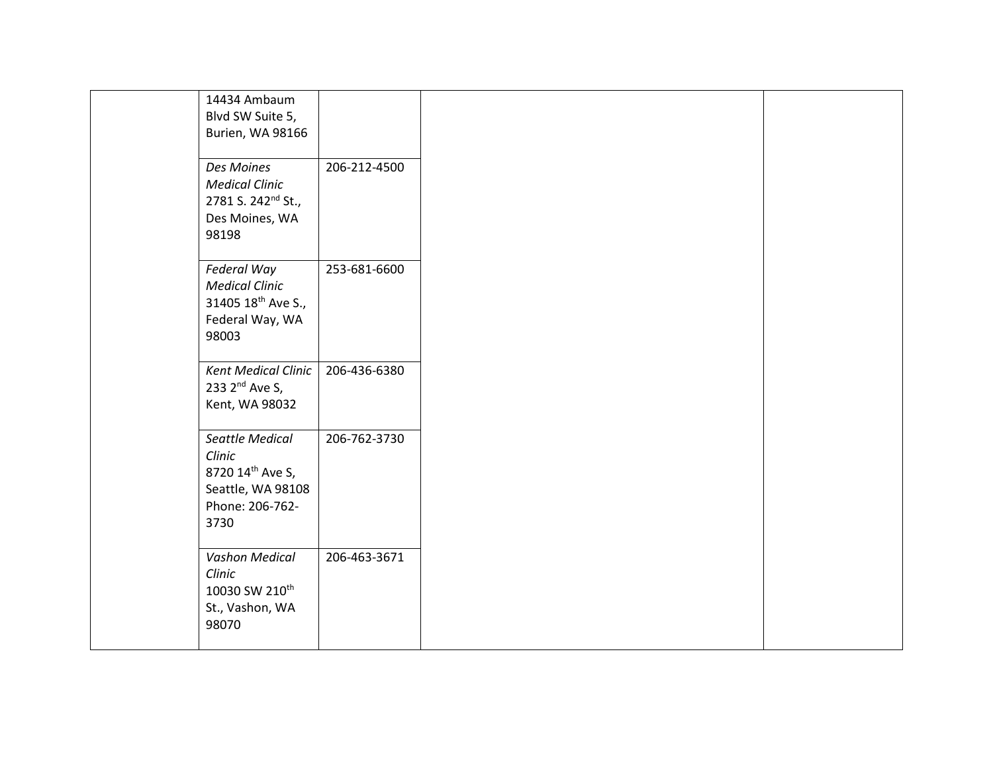|                            | 14434 Ambaum                   |              |
|----------------------------|--------------------------------|--------------|
|                            | Blvd SW Suite 5,               |              |
|                            | Burien, WA 98166               |              |
|                            |                                |              |
| Des Moines                 |                                | 206-212-4500 |
| <b>Medical Clinic</b>      |                                |              |
|                            |                                |              |
|                            | 2781 S. 242 <sup>nd</sup> St., |              |
|                            | Des Moines, WA                 |              |
| 98198                      |                                |              |
|                            |                                |              |
| Federal Way                |                                | 253-681-6600 |
| <b>Medical Clinic</b>      |                                |              |
|                            | 31405 18th Ave S.,             |              |
|                            | Federal Way, WA                |              |
| 98003                      |                                |              |
|                            |                                |              |
|                            | <b>Kent Medical Clinic</b>     | 206-436-6380 |
| 233 2 <sup>nd</sup> Ave S, |                                |              |
|                            | Kent, WA 98032                 |              |
|                            |                                |              |
|                            | Seattle Medical                | 206-762-3730 |
|                            |                                |              |
| Clinic                     |                                |              |
|                            | 8720 14th Ave S,               |              |
|                            | Seattle, WA 98108              |              |
|                            | Phone: 206-762-                |              |
| 3730                       |                                |              |
|                            |                                |              |
|                            | Vashon Medical                 | 206-463-3671 |
| Clinic                     |                                |              |
|                            | 10030 SW 210th                 |              |
|                            | St., Vashon, WA                |              |
| 98070                      |                                |              |
|                            |                                |              |
|                            |                                |              |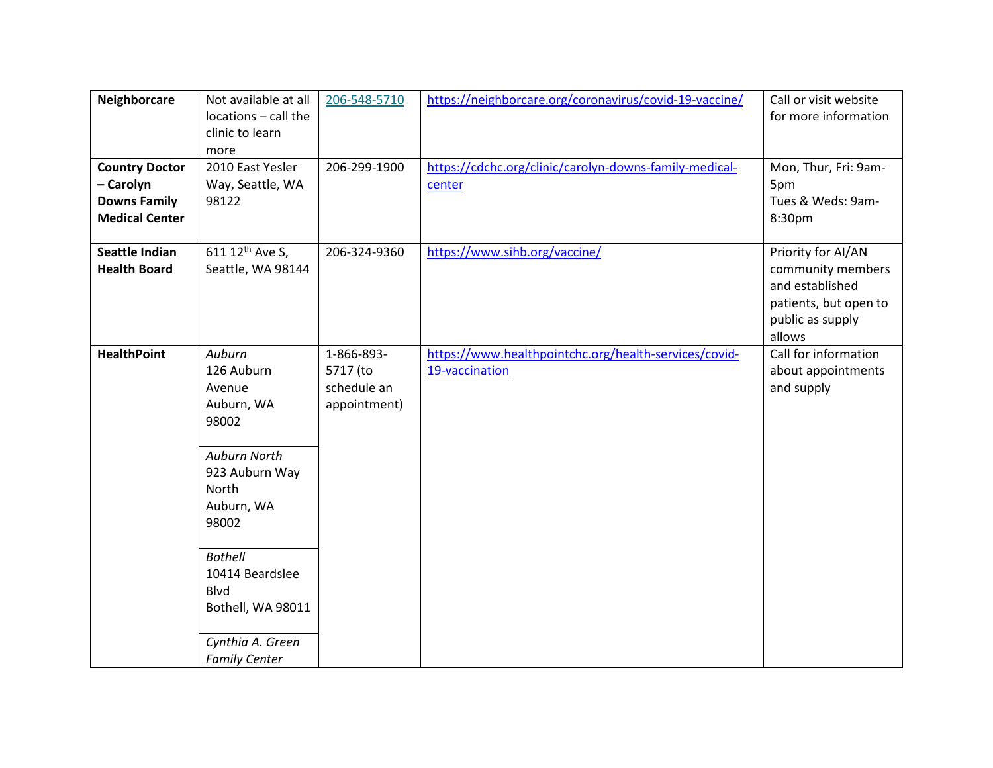| Neighborcare                                                                       | Not available at all                                                                                                                                                                                                                         | 206-548-5710                                          | https://neighborcare.org/coronavirus/covid-19-vaccine/                  | Call or visit website                                                                                             |
|------------------------------------------------------------------------------------|----------------------------------------------------------------------------------------------------------------------------------------------------------------------------------------------------------------------------------------------|-------------------------------------------------------|-------------------------------------------------------------------------|-------------------------------------------------------------------------------------------------------------------|
|                                                                                    | locations - call the<br>clinic to learn                                                                                                                                                                                                      |                                                       |                                                                         | for more information                                                                                              |
|                                                                                    | more                                                                                                                                                                                                                                         |                                                       |                                                                         |                                                                                                                   |
| <b>Country Doctor</b><br>- Carolyn<br><b>Downs Family</b><br><b>Medical Center</b> | 2010 East Yesler<br>Way, Seattle, WA<br>98122                                                                                                                                                                                                | 206-299-1900                                          | https://cdchc.org/clinic/carolyn-downs-family-medical-<br>center        | Mon, Thur, Fri: 9am-<br>5pm<br>Tues & Weds: 9am-<br>8:30pm                                                        |
|                                                                                    |                                                                                                                                                                                                                                              |                                                       |                                                                         |                                                                                                                   |
| <b>Seattle Indian</b><br><b>Health Board</b>                                       | 611 12 <sup>th</sup> Ave S,<br>Seattle, WA 98144                                                                                                                                                                                             | 206-324-9360                                          | https://www.sihb.org/vaccine/                                           | Priority for AI/AN<br>community members<br>and established<br>patients, but open to<br>public as supply<br>allows |
| <b>HealthPoint</b>                                                                 | Auburn<br>126 Auburn<br>Avenue<br>Auburn, WA<br>98002<br>Auburn North<br>923 Auburn Way<br>North<br>Auburn, WA<br>98002<br><b>Bothell</b><br>10414 Beardslee<br><b>Blvd</b><br>Bothell, WA 98011<br>Cynthia A. Green<br><b>Family Center</b> | 1-866-893-<br>5717 (to<br>schedule an<br>appointment) | https://www.healthpointchc.org/health-services/covid-<br>19-vaccination | Call for information<br>about appointments<br>and supply                                                          |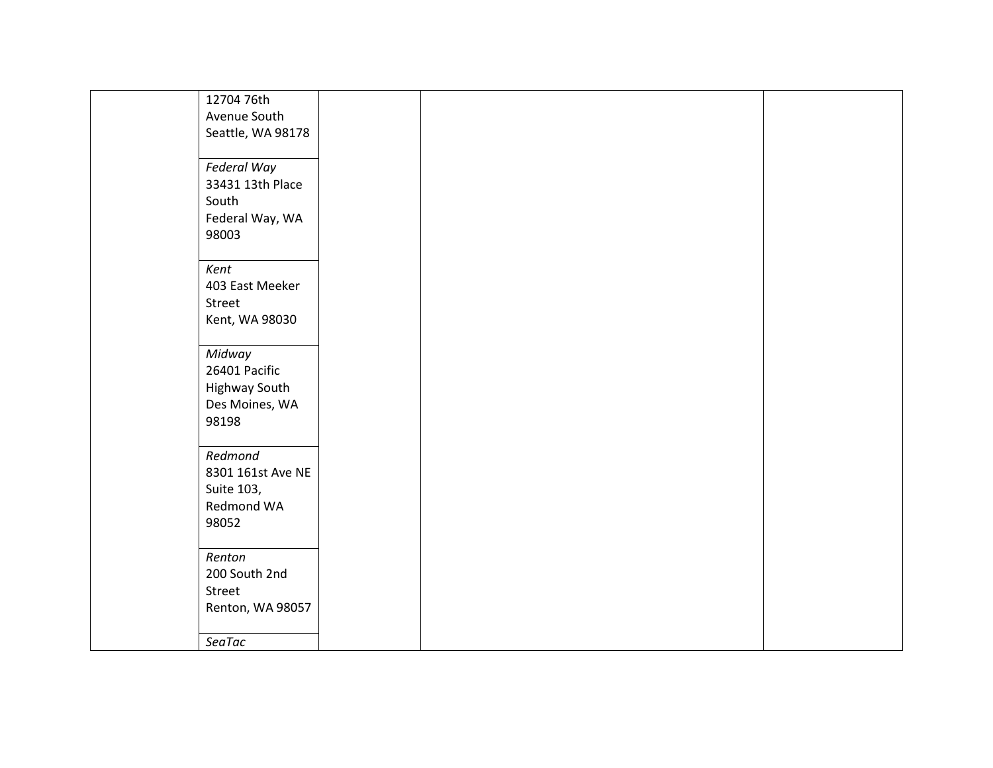| 12704 76th        |  |  |
|-------------------|--|--|
| Avenue South      |  |  |
| Seattle, WA 98178 |  |  |
|                   |  |  |
| Federal Way       |  |  |
| 33431 13th Place  |  |  |
| South             |  |  |
|                   |  |  |
| Federal Way, WA   |  |  |
| 98003             |  |  |
|                   |  |  |
| Kent              |  |  |
| 403 East Meeker   |  |  |
| Street            |  |  |
| Kent, WA 98030    |  |  |
|                   |  |  |
| Midway            |  |  |
| 26401 Pacific     |  |  |
| Highway South     |  |  |
| Des Moines, WA    |  |  |
| 98198             |  |  |
|                   |  |  |
| Redmond           |  |  |
| 8301 161st Ave NE |  |  |
| Suite 103,        |  |  |
| Redmond WA        |  |  |
| 98052             |  |  |
|                   |  |  |
| Renton            |  |  |
| 200 South 2nd     |  |  |
|                   |  |  |
| Street            |  |  |
| Renton, WA 98057  |  |  |
|                   |  |  |
| SeaTac            |  |  |